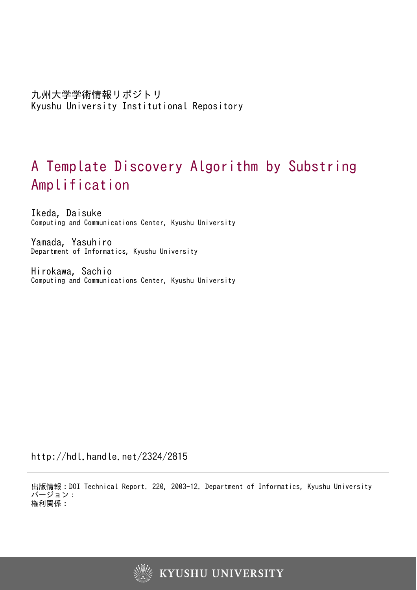# A Template Discovery Algorithm by Substring Amplification

Ikeda, Daisuke Computing and Communications Center, Kyushu University

Yamada, Yasuhiro Department of Informatics, Kyushu University

Hirokawa, Sachio Computing and Communications Center, Kyushu University

http://hdl.handle.net/2324/2815

出版情報:DOI Technical Report. 220, 2003-12. Department of Informatics, Kyushu University バージョン: 権利関係:

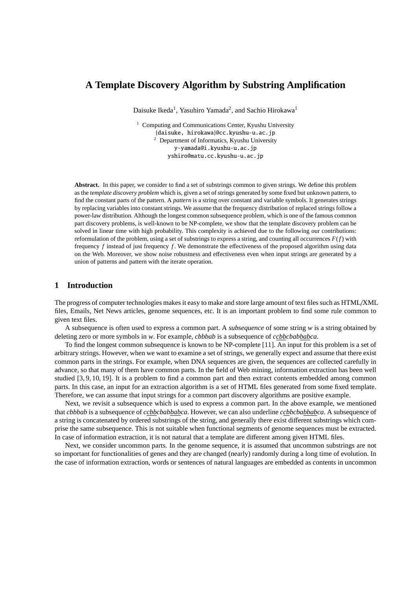# **A Template Discovery Algorithm by Substring Amplification**

Daisuke Ikeda<sup>1</sup>, Yasuhiro Yamada<sup>2</sup>, and Sachio Hirokawa<sup>1</sup>

<sup>1</sup> Computing and Communications Center, Kyushu University {daisuke, hirokawa}@cc.kyushu-u.ac.jp <sup>2</sup> Department of Informatics, Kyushu University y-yamada@i.kyushu-u.ac.jp yshiro@matu.cc.kyushu-u.ac.jp

**Abstract.** In this paper, we consider to find a set of substrings common to given strings. We define this problem as the *template discovery problem* which is, given a set of strings generated by some fixed but unknown pattern, to find the constant parts of the pattern. A *pattern* is a string over constant and variable symbols. It generates strings by replacing variables into constant strings. We assume that the frequency distribution of replaced strings follow a power-law distribution. Although the longest common subsequence problem, which is one of the famous common part discovery problems, is well-known to be NP-complete, we show that the template discovery problem can be solved in linear time with high probability. This complexity is achieved due to the following our contributions: reformulation of the problem, using a set of substrings to express a string, and counting all occurrences *F*(*f*) with frequency *f* instead of just frequency *f* . We demonstrate the effectiveness of the proposed algorithm using data on the Web. Moreover, we show noise robustness and effectiveness even when input strings are generated by a union of patterns and pattern with the iterate operation.

# **1 Introduction**

The progress of computer technologies makes it easy to make and store large amount of text files such as HTML/XML files, Emails, Net News articles, genome sequences, etc. It is an important problem to find some rule common to given text files.

A subsequence is often used to express a common part. A *subsequence* of some string *w* is a string obtained by deleting zero or more symbols in *w*. For example, *cbbbab* is a subsequence of *ccbbcbabbabca*.

To find the longest common subsequence is known to be NP-complete [11]. An input for this problem is a set of arbitrary strings. However, when we want to examine a set of strings, we generally expect and assume that there exist common parts in the strings. For example, when DNA sequences are given, the sequences are collected carefully in advance, so that many of them have common parts. In the field of Web mining, information extraction has been well studied [3, 9, 10, 19]. It is a problem to find a common part and then extract contents embedded among common parts. In this case, an input for an extraction algorithm is a set of HTML files generated from some fixed template. Therefore, we can assume that input strings for a common part discovery algorithms are positive example.

Next, we revisit a subsequence which is used to express a common part. In the above example, we mentioned that *cbbbab* is a subsequence of *ccbbcbabbabca*. However, we can also underline *ccbbcbabbabca*. A subsequence of a string is concatenated by ordered substrings of the string, and generally there exist different substrings which comprise the same subsequence. This is not suitable when functional segments of genome sequences must be extracted. In case of information extraction, it is not natural that a template are different among given HTML files.

Next, we consider uncommon parts. In the genome sequence, it is assumed that uncommon substrings are not so important for functionalities of genes and they are changed (nearly) randomly during a long time of evolution. In the case of information extraction, words or sentences of natural languages are embedded as contents in uncommon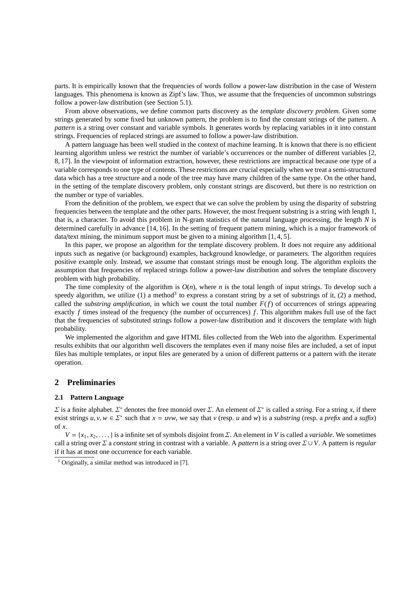parts. It is empirically known that the frequencies of words follow a power-law distribution in the case of Western languages. This phenomena is known as Zipf's law. Thus, we assume that the frequencies of uncommon substrings follow a power-law distribution (see Section 5.1).

From above observations, we define common parts discovery as the *template discovery problem*. Given some strings generated by some fixed but unknown pattern, the problem is to find the constant strings of the pattern. A *pattern* is a string over constant and variable symbols. It generates words by replacing variables in it into constant strings. Frequencies of replaced strings are assumed to follow a power-law distribution.

A pattern language has been well studied in the context of machine learning. It is known that there is no efficient learning algorithm unless we restrict the number of variable's occurrences or the number of different variables [2, 8, 17]. In the viewpoint of information extraction, however, these restrictions are impractical because one type of a variable corresponds to one type of contents. These restrictions are crucial especially when we treat a semi-structured data which has a tree structure and a node of the tree may have many children of the same type. On the other hand, in the setting of the template discovery problem, only constant strings are discoverd, but there is no restriction on the number or type of variables.

From the definition of the problem, we expect that we can solve the problem by using the disparity of substring frequencies between the template and the other parts. However, the most frequent substring is a string with length 1, that is, a character. To avoid this problem in N-gram statistics of the natural language processing, the length *N* is determined carefully in advance [14, 16]. In the setting of frequent pattern mining, which is a major framework of data/text mining, the minimum support must be given to a mining algorithm [1, 4, 5].

In this paper, we propose an algorithm for the template discovery problem. It does not require any additional inputs such as negative (or background) examples, background knowledge, or parameters. The algorithm requires positive example only. Instead, we assume that constant strings must be enough long. The algorithm exploits the assumption that frequencies of replaced strings follow a power-law distribution and solves the template discovery problem with high probability.

The time complexity of the algorithm is  $O(n)$ , where *n* is the total length of input strings. To develop such a speedy algorithm, we utilize (1) a method<sup>3</sup> to express a constant string by a set of substrings of it, (2) a method, called the *substring amplification*, in which we count the total number  $F(f)$  of occurrences of strings appearing exactly *f* times instead of the frequency (the number of occurrences) *f* . This algorithm makes full use of the fact that the frequencies of substituted strings follow a power-law distribution and it discovers the template with high probability.

We implemented the algorithm and gave HTML files collected from the Web into the algorithm. Experimental results exhibits that our algorithm well discovers the templates even if many noise files are included, a set of input files has multiple templates, or input files are generated by a union of different patterns or a pattern with the iterate operation.

# **2 Preliminaries**

#### **2.1 Pattern Language**

 $\Sigma$  is a finite alphabet.  $\Sigma^*$  denotes the free monoid over  $\Sigma$ . An element of  $\Sigma^*$  is called a *string*. For a string *x*, if there exist strings  $u, v, w \in \Sigma^*$  such that  $x = uvw$ , we say that  $v$  (resp. *u* and *w*) is a *substring* (resp. a *prefix* and a *suffix*) of *x*.

 $V = \{x_1, x_2, \ldots\}$  is a infinite set of symbols disjoint from  $\Sigma$ . An element in *V* is called a *variable*. We sometimes call a string over Σ a *constant* string in contrast with a variable. A *pattern* is a string over Σ ∪*V*. A pattern is *regular* if it has at most one occurrence for each variable.

<sup>3</sup> Originally, a similar method was introduced in [7].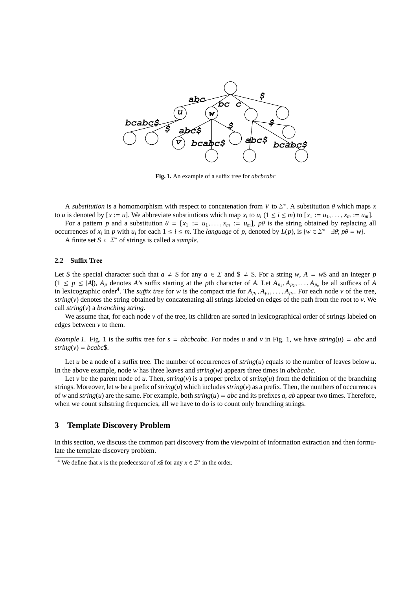

**Fig. 1.** An example of a suffix tree for *abcbcabc*

A *substitution* is a homomorphism with respect to concatenation from *V* to  $\Sigma^*$ . A substitution  $\theta$  which maps *x* to *u* is denoted by  $[x := u]$ . We abbreviate substitutions which map  $x_i$  to  $u_i$  ( $1 \le i \le m$ ) to  $[x_1 := u_1, \ldots, x_m := u_m]$ .

For a pattern *p* and a substitution  $\theta = [x_1 := u_1, \dots, x_m := u_m]$ ,  $p\theta$  is the string obtained by replacing all occurrences of  $x_i$  in  $p$  with  $u_i$  for each  $1 \le i \le m$ . The *language* of  $p$ , denoted by  $L(p)$ , is  $\{w \in \Sigma^* \mid \exists \theta; p\theta = w\}$ .

A finite set  $S \subset \Sigma^*$  of strings is called a *sample*.

#### **2.2 Su**ffi**x Tree**

Let \$ the special character such that  $a \neq 3$  for any  $a \in \Sigma$  and  $\frac{1}{3} \neq 3$ . For a string *w*,  $A = w\$  and an integer *p*  $(1 \le p \le |A|)$ ,  $A_p$  denotes A's suffix starting at the pth character of A. Let  $A_{p_1}, A_{p_2},..., A_{p_n}$  be all suffices of A in lexicographic order<sup>4</sup>. The *suffix tree* for *w* is the compact trie for  $A_{p_1}, A_{p_2}, \ldots, A_{p_n}$ . For each node *v* of the tree,  $string(v)$  denotes the string obtained by concatenating all strings labeled on edges of the path from the root to *v*. We call *string*(*v*) a *branching string*.

We assume that, for each node *v* of the tree, its children are sorted in lexicographical order of strings labeled on edges between *v* to them.

*Example 1.* Fig. 1 is the suffix tree for  $s = abcbcabc$ . For nodes *u* and *v* in Fig. 1, we have *string*(*u*) = *abc* and  $string(v) = bcabc$ \$.

Let *u* be a node of a suffix tree. The number of occurrences of *string*(*u*) equals to the number of leaves below *u*. In the above example, node *w* has three leaves and *string*(*w*) appears three times in *abcbcabc*.

Let *v* be the parent node of *u*. Then, *string*(*v*) is a proper prefix of *string*(*u*) from the definition of the branching strings. Moreover, let *w* be a prefix of*string*(*u*) which includes*string*(*v*) as a prefix. Then, the numbers of occurrences of *w* and *string*(*u*) are the same. For example, both *string*(*u*) = *abc* and its prefixes *a*, *ab* appear two times. Therefore, when we count substring frequencies, all we have to do is to count only branching strings.

#### **3 Template Discovery Problem**

In this section, we discuss the common part discovery from the viewpoint of information extraction and then formulate the template discovery problem.

<sup>&</sup>lt;sup>4</sup> We define that *x* is the predecessor of *x*\$ for any  $x \in \Sigma^*$  in the order.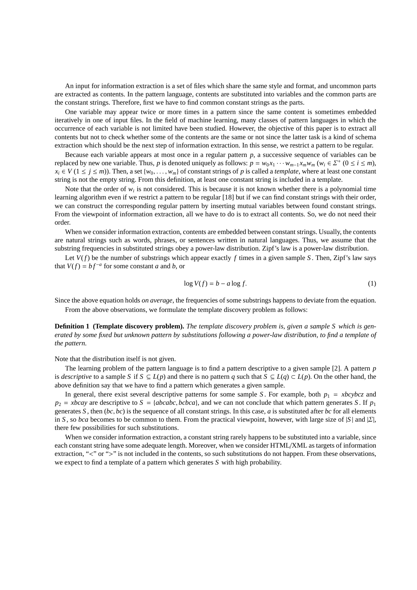An input for information extraction is a set of files which share the same style and format, and uncommon parts are extracted as contents. In the pattern language, contents are substituted into variables and the common parts are the constant strings. Therefore, first we have to find common constant strings as the parts.

One variable may appear twice or more times in a pattern since the same content is sometimes embedded iteratively in one of input files. In the field of machine learning, many classes of pattern languages in which the occurrence of each variable is not limited have been studied. However, the objective of this paper is to extract all contents but not to check whether some of the contents are the same or not since the latter task is a kind of schema extraction which should be the next step of information extraction. In this sense, we restrict a pattern to be regular.

Because each variable appears at most once in a regular pattern *p*, a successive sequence of variables can be replaced by new one variable. Thus, *p* is denoted uniquely as follows:  $p = w_0 x_1 \cdots w_{m-1} x_m w_m$  ( $w_i \in \Sigma^+$  ( $0 \le i \le m$ ),  $x_i \in V$  ( $1 \le j \le m$ )). Then, a set {*w*<sub>0</sub>, . . . , *w<sub>m</sub>*} of constant strings of *p* is called a *template*, where at least one constant string is not the empty string. From this definition, at least one constant string is included in a template.

Note that the order of  $w_i$  is not considered. This is because it is not known whether there is a polynomial time learning algorithm even if we restrict a pattern to be regular [18] but if we can find constant strings with their order, we can construct the corresponding regular pattern by inserting mutual variables between found constant strings. From the viewpoint of information extraction, all we have to do is to extract all contents. So, we do not need their order.

When we consider information extraction, contents are embedded between constant strings. Usually, the contents are natural strings such as words, phrases, or sentences written in natural languages. Thus, we assume that the substring frequencies in substituted strings obey a power-law distribution. Zipf's law is a power-law distribution.

Let  $V(f)$  be the number of substrings which appear exactly f times in a given sample *S*. Then, Zipf's law says that  $V(f) = bf^{-a}$  for some constant *a* and *b*, or

$$
\log V(f) = b - a \log f. \tag{1}
$$

Since the above equation holds *on average*, the frequencies of some substrings happens to deviate from the equation. From the above observations, we formulate the template discovery problem as follows:

**Definition 1 (Template discovery problem).** *The template discovery problem is, given a sample S which is generated by some fixed but unknown pattern by substitutions following a power-law distribution, to find a template of the pattern.*

Note that the distribution itself is not given.

The learning problem of the pattern language is to find a pattern descriptive to a given sample [2]. A pattern *p* is *descriptive* to a sample *S* if  $S \subseteq L(p)$  and there is no pattern *q* such that  $S \subseteq L(q) \subset L(p)$ . On the other hand, the above definition say that we have to find a pattern which generates a given sample.

In general, there exist several descriptive patterns for some sample *S*. For example, both  $p_1 = xbcybcz$  and  $p_2$  = *xbcay* are descriptive to  $S = \{abcabc, bcbca\}$ , and we can not conclude that which pattern generates *S*. If  $p_1$ generates *S*, then  $(bc, bc)$  is the sequence of all constant strings. In this case, *a* is substituted after *bc* for all elements in *S*, so *bca* becomes to be common to them. From the practical viewpoint, however, with large size of  $|S|$  and  $|\Sigma|$ , there few possibilities for such substitutions.

When we consider information extraction, a constant string rarely happens to be substituted into a variable, since each constant string have some adequate length. Moreover, when we consider HTML/XML as targets of information extraction, "<" or ">" is not included in the contents, so such substitutions do not happen. From these observations, we expect to find a template of a pattern which generates *S* with high probability.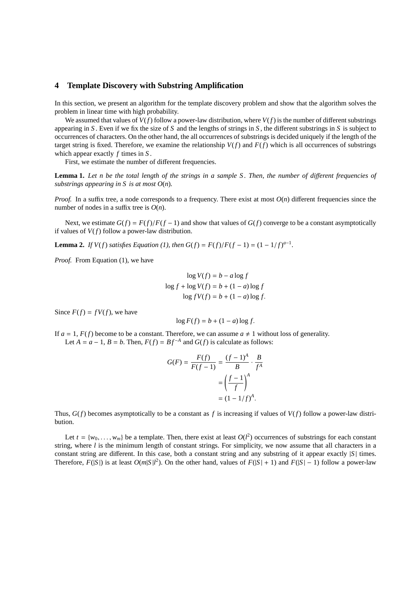# **4 Template Discovery with Substring Amplification**

In this section, we present an algorithm for the template discovery problem and show that the algorithm solves the problem in linear time with high probability.

We assumed that values of  $V(f)$  follow a power-law distribution, where  $V(f)$  is the number of different substrings appearing in *S* . Even if we fix the size of *S* and the lengths of strings in *S* , the different substrings in *S* is subject to occurrences of characters. On the other hand, the all occurrences of substrings is decided uniquely if the length of the target string is fixed. Therefore, we examine the relationship  $V(f)$  and  $F(f)$  which is all occurrences of substrings which appear exactly *f* times in *S* .

First, we estimate the number of different frequencies.

**Lemma 1.** *Let n be the total length of the strings in a sample S . Then, the number of di*ff*erent frequencies of substrings appearing in*  $S$  *is at most*  $O(n)$ *.* 

*Proof.* In a suffix tree, a node corresponds to a frequency. There exist at most  $O(n)$  different frequencies since the number of nodes in a suffix tree is *O*(*n*).

Next, we estimate  $G(f) = F(f)/F(f-1)$  and show that values of  $G(f)$  converge to be a constant asymptotically if values of *V*(*f*) follow a power-law distribution.

**Lemma 2.** *If*  $V(f)$  *satisfies Equation* (1), *then*  $G(f) = F(f)/F(f-1) = (1 - 1/f)^{a-1}$ .

*Proof.* From Equation (1), we have

$$
\log V(f) = b - a \log f
$$

$$
\log f + \log V(f) = b + (1 - a) \log f
$$

$$
\log fV(f) = b + (1 - a) \log f.
$$

Since  $F(f) = fV(f)$ , we have

$$
\log F(f) = b + (1 - a) \log f.
$$

If  $a = 1$ ,  $F(f)$  become to be a constant. Therefore, we can assume  $a \neq 1$  without loss of generality. Let  $A = a - 1$ ,  $B = b$ . Then,  $F(f) = Bf^{-A}$  and  $G(f)$  is calculate as follows:

$$
G(F) = \frac{F(f)}{F(f-1)} = \frac{(f-1)^A}{B} \cdot \frac{B}{f^A}
$$

$$
= \left(\frac{f-1}{f}\right)^A
$$

$$
= (1-1/f)^A.
$$

Thus,  $G(f)$  becomes asymptotically to be a constant as f is increasing if values of  $V(f)$  follow a power-law distribution.

Let  $t = \{w_0, \ldots, w_m\}$  be a template. Then, there exist at least  $O(l^2)$  occurrences of substrings for each constant string, where *l* is the minimum length of constant strings. For simplicity, we now assume that all characters in a constant string are different. In this case, both a constant string and any substring of it appear exactly  $|S|$  times. Therefore,  $F(|S|)$  is at least  $O(m|S|l^2)$ . On the other hand, values of  $F(|S| + 1)$  and  $F(|S| - 1)$  follow a power-law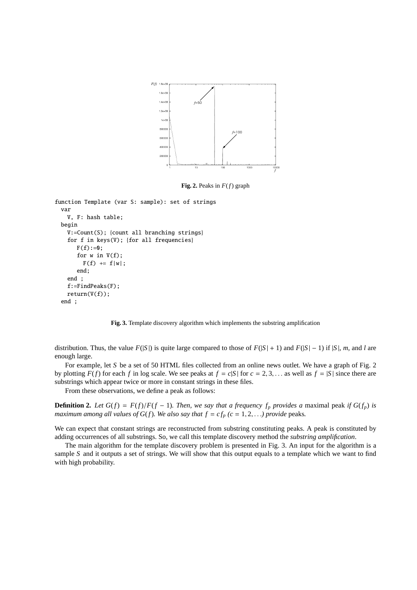

**Fig. 2.** Peaks in *F*(*f*) graph

```
function Template (var S: sample): set of strings
 var
  V, F: hash table;
begin
  V:=Count(S); {count all branching strings}
  for f in keys(V); {for all frequencies}
     F(f):=0;for w in V(f);
       F(f) += f|w|;
     end;
  end ;
  f:=FindPeaks(F);
  return(V(f));
 end ;
```
**Fig. 3.** Template discovery algorithm which implements the substring amplification

distribution. Thus, the value  $F(|S|)$  is quite large compared to those of  $F(|S| + 1)$  and  $F(|S| - 1)$  if  $|S|$ , *m*, and *l* are enough large.

For example, let *S* be a set of 50 HTML files collected from an online news outlet. We have a graph of Fig. 2 by plotting  $F(f)$  for each f in log scale. We see peaks at  $f = c|S|$  for  $c = 2, 3, ...$  as well as  $f = |S|$  since there are substrings which appear twice or more in constant strings in these files.

From these observations, we define a peak as follows:

**Definition 2.** Let  $G(f) = F(f)/F(f-1)$ . Then, we say that a frequency  $f_p$  provides a maximal peak if  $G(f_p)$  is *maximum among all values of*  $G(f)$ *. We also say that*  $f = cf_p$   $(c = 1, 2, ...)$  provide peaks.

We can expect that constant strings are reconstructed from substring constituting peaks. A peak is constituted by adding occurrences of all substrings. So, we call this template discovery method the *substring amplification*.

The main algorithm for the template discovery problem is presented in Fig. 3. An input for the algorithm is a sample *S* and it outputs a set of strings. We will show that this output equals to a template which we want to find with high probability.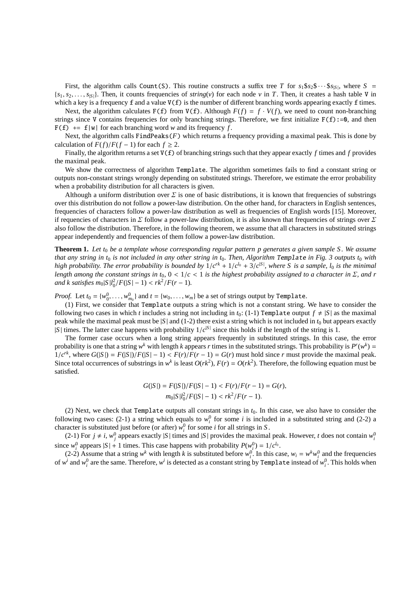First, the algorithm calls Count(S). This routine constructs a suffix tree *T* for  $s_1$ \$ $s_2$ \$ $\cdots$ \$ $s_{|S|}$ , where *S* =  $\{s_1, s_2, \ldots, s_{|S|}\}.$  Then, it counts frequencies of *string*(*v*) for each node *v* in *T*. Then, it creates a hash table V in which a key is a frequency  $f$  and a value  $V(f)$  is the number of different branching words appearing exactly  $f$  times.

Next, the algorithm calculates  $F(f)$  from  $V(f)$ . Although  $F(f) = f \cdot V(f)$ , we need to count non-branching strings since V contains frequencies for only branching strings. Therefore, we first initialize  $F(f) := 0$ , and then  $F(f)$  +=  $f|w|$  for each branching word *w* and its frequency *f*.

Next, the algorithm calls FindPeaks(*F*) which returns a frequency providing a maximal peak. This is done by calculation of  $F(f)/F(f-1)$  for each  $f \ge 2$ .

Finally, the algorithm returns a set  $V(f)$  of branching strings such that they appear exactly f times and f provides the maximal peak.

We show the correctness of algorithm Template. The algorithm sometimes fails to find a constant string or outputs non-constant strings wrongly depending on substituted strings. Therefore, we estimate the error probability when a probability distribution for all characters is given.

Although a uniform distribution over  $\Sigma$  is one of basic distributions, it is known that frequencies of substrings over this distribution do not follow a power-law distribution. On the other hand, for characters in English sentences, frequencies of characters follow a power-law distribution as well as frequencies of English words [15]. Moreover, if requencies of characters in  $\Sigma$  follow a power-law distribution, it is also known that frequencies of strings over  $\Sigma$ also follow the distribution. Therefore, in the following theorem, we assume that all characters in substituted strings appear independently and frequencies of them follow a power-law distribution.

**Theorem 1.** *Let t*<sup>0</sup> *be a template whose corresponding regular pattern p generates a given sample S . We assume that any string in t*<sup>0</sup> *is not included in any other string in t*0*. Then, Algorithm* Template *in Fig. 3 outputs t*<sup>0</sup> *with high probability. The error probability is bounded by*  $1/c^{rk} + 1/c^{l_0} + 3/c^{|S|}$ , where *S is a sample*,  $l_0$  *is the minimal length among the constant strings in*  $t_0$ ,  $0 < 1/c < 1$  *is the highest probability assigned to a character in*  $\Sigma$ *, and r*  $and \ k \ satisfies \ m_0|S|l_0^2/F(|S|-1) < rk^2/F(r-1).$ 

*Proof.* Let  $t_0 = \{w_0^0, \ldots, w_{m_0}^0\}$  and  $t = \{w_0, \ldots, w_m\}$  be a set of strings output by Template.

(1) First, we consider that Template outputs a string which is not a constant string. We have to consider the following two cases in which *t* includes a string not including in  $t_0$ : (1-1) Template output  $f \neq |S|$  as the maximal peak while the maximal peak must be  $|S|$  and (1-2) there exist a string which is not included in  $t_0$  but appears exactly  $|S|$  times. The latter case happens with probability  $1/c^{|S|}$  since this holds if the length of the string is 1.

The former case occurs when a long string appears frequently in substituted strings. In this case, the error probability is one that a string  $w^k$  with length *k* appears *r* times in the substituted strings. This probability is  $P^r(w^k)$  =  $1/c^{rk}$ , where  $G(|S|) = F(|S|)/F(|S|-1) < F(r)/F(r-1) = G(r)$  must hold since *r* must provide the maximal peak. Since total occurrences of substrings in  $w^k$  is least  $O(rk^2)$ ,  $F(r) = O(rk^2)$ . Therefore, the following equation must be satisfied.

$$
G(|S|) = F(|S|)/F(|S|-1) < F(r)/F(r-1) = G(r),
$$
\n
$$
m_0|S|_0^2/F(|S|-1) < rk^2/F(r-1).
$$

(2) Next, we check that Template outputs all constant strings in *t*0. In this case, we also have to consider the following two cases: (2-1) a string which equals to  $w_i^0$  for some *i* is included in a substituted string and (2-2) a character is substituted just before (or after)  $w_i^0$  for some *i* for all strings in *S*.

(2-1) For  $j \neq i$ ,  $w_j^0$  appears exactly |*S*| times and |*S*| provides the maximal peak. However, *t* does not contain  $w_i^0$ since  $w_i^0$  appears  $|S| + 1$  times. This case happens with probability  $P(w_i^0) = 1/c^{l_0}$ .

(2-2) Assume that a string  $w^k$  with length *k* is substituted before  $w_i^0$ . In this case,  $w_i = w^k w_i^0$  and the frequencies of  $w^i$  and  $w^0_i$  are the same. Therefore,  $w^i$  is detected as a constant string by Template instead of  $w^0_i$ . This holds when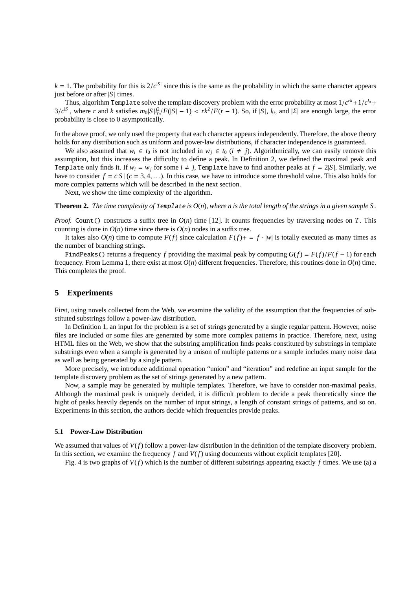$k = 1$ . The probability for this is  $2/c^{|S|}$  since this is the same as the probability in which the same character appears just before or after |*S* | times.

Thus, algorithm Template solve the template discovery problem with the error probability at most  $1/c^{rk} + 1/c^{l_0} +$  $3/c^{|S|}$ , where r and k satisfies  $m_0|S|l_0^2/F(|S|-1) < rk^2/F(r-1)$ . So, if  $|S|, l_0$ , and  $|Z|$  are enough large, the error probability is close to 0 asymptotically.

In the above proof, we only used the property that each character appears independently. Therefore, the above theory holds for any distribution such as uniform and power-law distributions, if character independence is guaranteed.

We also assumed that  $w_i \in t_0$  is not included in  $w_i \in t_0$  ( $i \neq j$ ). Algorithmically, we can easily remove this assumption, but this increases the difficulty to define a peak. In Definition 2, we defined the maximal peak and Template only finds it. If  $w_i = w_j$  for some  $i \neq j$ , Template have to find another peaks at  $f = 2|S|$ . Similarly, we have to consider  $f = c|S|$  ( $c = 3, 4, ...$ ). In this case, we have to introduce some threshold value. This also holds for more complex patterns which will be described in the next section.

Next, we show the time complexity of the algorithm.

**Theorem 2.** The time complexity of Template is  $O(n)$ , where *n* is the total length of the strings in a given sample S.

*Proof.* Count() constructs a suffix tree in  $O(n)$  time [12]. It counts frequencies by traversing nodes on *T*. This counting is done in  $O(n)$  time since there is  $O(n)$  nodes in a suffix tree.

It takes also  $O(n)$  time to compute  $F(f)$  since calculation  $F(f)$  + =  $f \cdot |w|$  is totally executed as many times as the number of branching strings.

FindPeaks() returns a frequency *f* providing the maximal peak by computing  $G(f) = F(f)/F(f-1)$  for each frequency. From Lemma 1, there exist at most  $O(n)$  different frequencies. Therefore, this routines done in  $O(n)$  time. This completes the proof.

## **5 Experiments**

First, using novels collected from the Web, we examine the validity of the assumption that the frequencies of substituted substrings follow a power-law distribution.

In Definition 1, an input for the problem is a set of strings generated by a single regular pattern. However, noise files are included or some files are generated by some more complex patterns in practice. Therefore, next, using HTML files on the Web, we show that the substring amplification finds peaks constituted by substrings in template substrings even when a sample is generated by a unison of multiple patterns or a sample includes many noise data as well as being generated by a single pattern.

More precisely, we introduce additional operation "union" and "iteration" and redefine an input sample for the template discovery problem as the set of strings generated by a new pattern.

Now, a sample may be generated by multiple templates. Therefore, we have to consider non-maximal peaks. Although the maximal peak is uniquely decided, it is difficult problem to decide a peak theoretically since the hight of peaks heavily depends on the number of input strings, a length of constant strings of patterns, and so on. Experiments in this section, the authors decide which frequencies provide peaks.

#### **5.1 Power-Law Distribution**

We assumed that values of  $V(f)$  follow a power-law distribution in the definition of the template discovery problem. In this section, we examine the frequency *f* and *V*(*f*) using documents without explicit templates [20].

Fig. 4 is two graphs of  $V(f)$  which is the number of different substrings appearing exactly f times. We use (a) a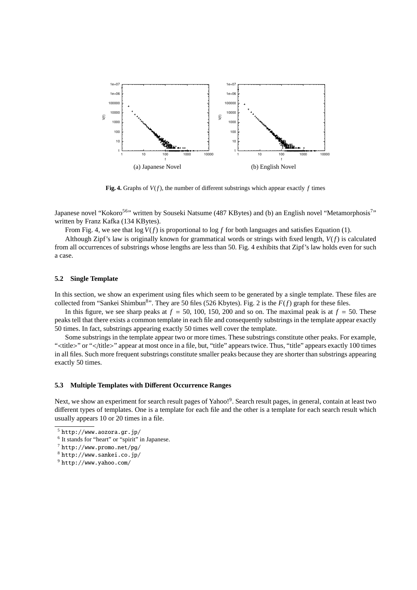

**Fig. 4.** Graphs of  $V(f)$ , the number of different substrings which appear exactly  $f$  times

Japanese novel "Kokoro<sup>56</sup>" written by Souseki Natsume (487 KBytes) and (b) an English novel "Metamorphosis<sup>7</sup>" written by Franz Kafka (134 KBytes).

From Fig. 4, we see that log *V*(*f*) is proportional to log *f* for both languages and satisfies Equation (1).

Although Zipf's law is originally known for grammatical words or strings with fixed length, *V*(*f*) is calculated from all occurrences of substrings whose lengths are less than 50. Fig. 4 exhibits that Zipf's law holds even for such a case.

#### **5.2 Single Template**

In this section, we show an experiment using files which seem to be generated by a single template. These files are collected from "Sankei Shimbun<sup>8</sup>". They are 50 files (526 Kbytes). Fig. 2 is the  $F(f)$  graph for these files.

In this figure, we see sharp peaks at  $f = 50$ , 100, 150, 200 and so on. The maximal peak is at  $f = 50$ . These peaks tell that there exists a common template in each file and consequently substrings in the template appear exactly 50 times. In fact, substrings appearing exactly 50 times well cover the template.

Some substrings in the template appear two or more times. These substrings constitute other peaks. For example, "<title>" or "</title>" appear at most once in a file, but, "title" appears twice. Thus, "title" appears exactly 100 times in all files. Such more frequent substrings constitute smaller peaks because they are shorter than substrings appearing exactly 50 times.

#### **5.3 Multiple Templates with Di**ff**erent Occurrence Ranges**

Next, we show an experiment for search result pages of Yahoo!<sup>9</sup>. Search result pages, in general, contain at least two different types of templates. One is a template for each file and the other is a template for each search result which usually appears 10 or 20 times in a file.

 $5$  http://www.aozora.gr.jp/

<sup>6</sup> It stands for "heart" or "spirit" in Japanese.

<sup>7</sup> http://www.promo.net/pg/

<sup>8</sup> http://www.sankei.co.jp/

<sup>9</sup> http://www.yahoo.com/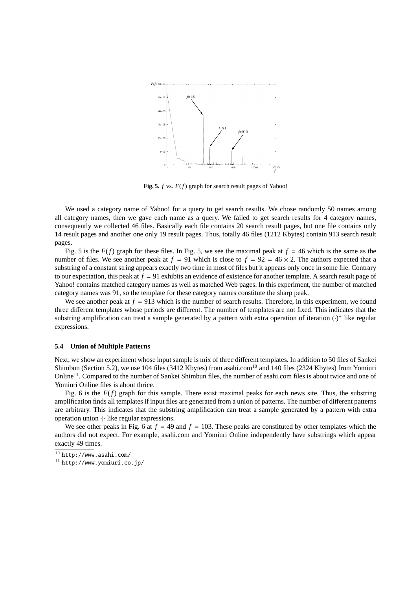

**Fig. 5.** *f* vs. *F*(*f*) graph for search result pages of Yahoo!

We used a category name of Yahoo! for a query to get search results. We chose randomly 50 names among all category names, then we gave each name as a query. We failed to get search results for 4 category names, consequently we collected 46 files. Basically each file contains 20 search result pages, but one file contains only 14 result pages and another one only 19 result pages. Thus, totally 46 files (1212 Kbytes) contain 913 search result pages.

Fig. 5 is the  $F(f)$  graph for these files. In Fig. 5, we see the maximal peak at  $f = 46$  which is the same as the number of files. We see another peak at  $f = 91$  which is close to  $f = 92 = 46 \times 2$ . The authors expected that a substring of a constant string appears exactly two time in most of files but it appears only once in some file. Contrary to our expectation, this peak at  $f = 91$  exhibits an evidence of existence for another template. A search result page of Yahoo! contains matched category names as well as matched Web pages. In this experiment, the number of matched category names was 91, so the template for these category names constitute the sharp peak.

We see another peak at  $f = 913$  which is the number of search results. Therefore, in this experiment, we found three different templates whose periods are different. The number of templates are not fixed. This indicates that the substring amplification can treat a sample generated by a pattern with extra operation of iteration (·)<sup>+</sup> like regular expressions.

#### **5.4 Union of Multiple Patterns**

Next, we show an experiment whose input sample is mix of three different templates. In addition to 50 files of Sankei Shimbun (Section 5.2), we use 104 files (3412 Kbytes) from asahi.com<sup>10</sup> and 140 files (2324 Kbytes) from Yomiuri Online<sup>11</sup>. Compared to the number of Sankei Shimbun files, the number of asahi.com files is about twice and one of Yomiuri Online files is about thrice.

Fig. 6 is the *F*(*f*) graph for this sample. There exist maximal peaks for each news site. Thus, the substring amplification finds all templates if input files are generated from a union of patterns. The number of different patterns are arbitrary. This indicates that the substring amplification can treat a sample generated by a pattern with extra operation union ·|· like regular expressions.

We see other peaks in Fig. 6 at  $f = 49$  and  $f = 103$ . These peaks are constituted by other templates which the authors did not expect. For example, asahi.com and Yomiuri Online independently have substrings which appear exactly 49 times.

<sup>10</sup> http://www.asahi.com/

 $11$  http://www.yomiuri.co.jp/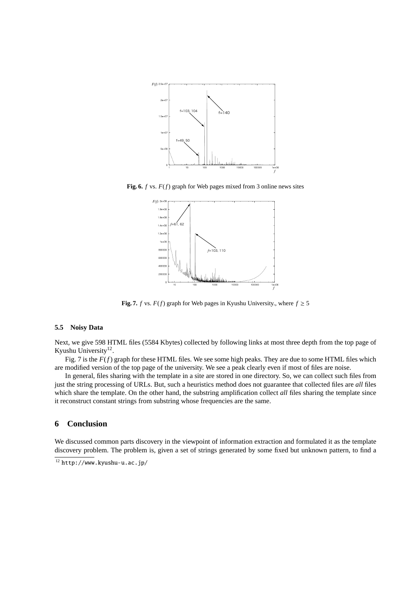

**Fig. 6.** *f* vs. *F*(*f*) graph for Web pages mixed from 3 online news sites



**Fig. 7.** *f* vs.  $F(f)$  graph for Web pages in Kyushu University., where  $f \ge 5$ 

### **5.5 Noisy Data**

Next, we give 598 HTML files (5584 Kbytes) collected by following links at most three depth from the top page of Kyushu University<sup>12</sup>.

Fig. 7 is the *F*(*f*) graph for these HTML files. We see some high peaks. They are due to some HTML files which are modified version of the top page of the university. We see a peak clearly even if most of files are noise.

In general, files sharing with the template in a site are stored in one directory. So, we can collect such files from just the string processing of URLs. But, such a heuristics method does not guarantee that collected files are *all* files which share the template. On the other hand, the substring amplification collect *all* files sharing the template since it reconstruct constant strings from substring whose frequencies are the same.

### **6 Conclusion**

We discussed common parts discovery in the viewpoint of information extraction and formulated it as the template discovery problem. The problem is, given a set of strings generated by some fixed but unknown pattern, to find a

<sup>12</sup> http://www.kyushu-u.ac.jp/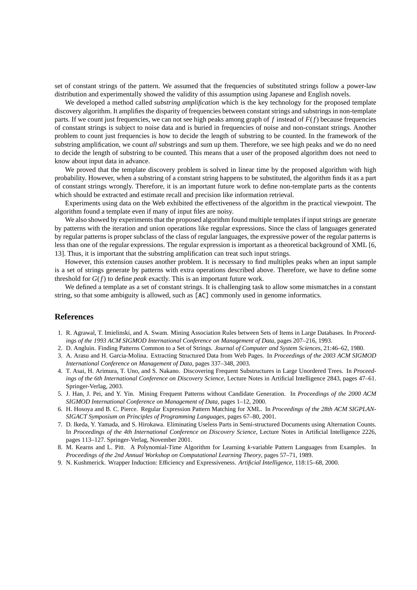set of constant strings of the pattern. We assumed that the frequencies of substituted strings follow a power-law distribution and experimentally showed the validity of this assumption using Japanese and English novels.

We developed a method called *substring amplification* which is the key technology for the proposed template discovery algorithm. It amplifies the disparity of frequencies between constant strings and substrings in non-template parts. If we count just frequencies, we can not see high peaks among graph of  $f$  instead of  $F(f)$  because frequencies of constant strings is subject to noise data and is buried in frequencies of noise and non-constant strings. Another problem to count just frequencies is how to decide the length of substring to be counted. In the framework of the substring amplification, we count *all* substrings and sum up them. Therefore, we see high peaks and we do no need to decide the length of substring to be counted. This means that a user of the proposed algorithm does not need to know about input data in advance.

We proved that the template discovery problem is solved in linear time by the proposed algorithm with high probability. However, when a substring of a constant string happens to be substituted, the algorithm finds it as a part of constant strings wrongly. Therefore, it is an important future work to define non-template parts as the contents which should be extracted and estimate recall and precision like information retrieval.

Experiments using data on the Web exhibited the effectiveness of the algorithm in the practical viewpoint. The algorithm found a template even if many of input files are noisy.

We also showed by experiments that the proposed algorithm found multiple templates if input strings are generate by patterns with the iteration and union operations like regular expressions. Since the class of languages generated by regular patterns is proper subclass of the class of regular languages, the expressive power of the regular patterns is less than one of the regular expressions. The regular expression is important as a theoretical background of XML [6, 13]. Thus, it is important that the substring amplification can treat such input strings.

However, this extension causes another problem. It is necessary to find multiples peaks when an input sample is a set of strings generate by patterns with extra operations described above. Therefore, we have to define some threshold for *G*(*f*) to define *peak* exactly. This is an important future work.

We defined a template as a set of constant strings. It is challenging task to allow some mismatches in a constant string, so that some ambiguity is allowed, such as [AC] commonly used in genome informatics.

#### **References**

- 1. R. Agrawal, T. Imielinski, and A. Swam. Mining Association Rules between Sets of Items in Large Databases. In *Proceedings of the 1993 ACM SIGMOD International Conference on Management of Data*, pages 207–216, 1993.
- 2. D. Angluin. Finding Patterns Common to a Set of Strings. *Journal of Computer and System Sciences*, 21:46–62, 1980.
- 3. A. Arasu and H. Garcia-Molina. Extracting Structured Data from Web Pages. In *Proceedings of the 2003 ACM SIGMOD International Conference on Management of Data*, pages 337–348, 2003.
- 4. T. Asai, H. Arimura, T. Uno, and S. Nakano. Discovering Frequent Substructures in Large Unordered Trees. In *Proceedings of the 6th International Conference on Discovery Science*, Lecture Notes in Artificial Intelligence 2843, pages 47–61. Springer-Verlag, 2003.
- 5. J. Han, J. Pei, and Y. Yin. Mining Frequent Patterns without Candidate Generation. In *Proceedings of the 2000 ACM SIGMOD International Conference on Management of Data*, pages 1–12, 2000.
- 6. H. Hosoya and B. C. Pierce. Regular Expression Pattern Matching for XML. In *Proceedings of the 28th ACM SIGPLAN-SIGACT Symposium on Principles of Programming Languages*, pages 67–80, 2001.
- 7. D. Ikeda, Y. Yamada, and S. Hirokawa. Eliminating Useless Parts in Semi-structured Documents using Alternation Counts. In *Proceedings of the 4th International Conference on Discovery Science*, Lecture Notes in Artificial Intelligence 2226, pages 113–127. Springer-Verlag, November 2001.
- 8. M. Kearns and L. Pitt. A Polynomial-Time Algorithm for Learning *k*-variable Pattern Languages from Examples. In *Proceedings of the 2nd Annual Workshop on Computational Learning Theory*, pages 57–71, 1989.
- 9. N. Kushmerick. Wrapper Induction: Efficiency and Expressiveness. *Artificial Intelligence*, 118:15–68, 2000.